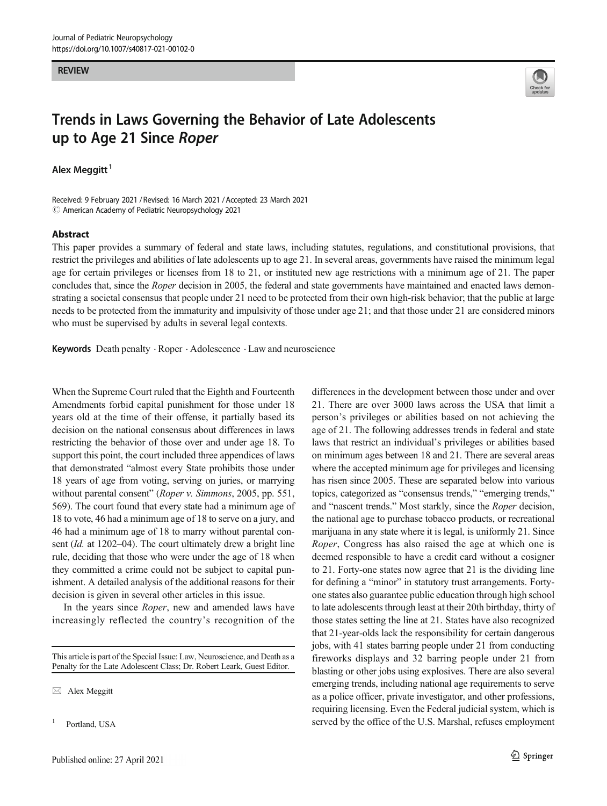#### **RFVIFW** REVIEW



# Trends in Laws Governing the Behavior of Late Adolescents up to Age 21 Since Roper

Alex Meggitt $<sup>1</sup>$ </sup>

Received: 9 February 2021 / Revised: 16 March 2021 /Accepted: 23 March 2021  $\odot$  American Academy of Pediatric Neuropsychology 2021

#### Abstract

This paper provides a summary of federal and state laws, including statutes, regulations, and constitutional provisions, that restrict the privileges and abilities of late adolescents up to age 21. In several areas, governments have raised the minimum legal age for certain privileges or licenses from 18 to 21, or instituted new age restrictions with a minimum age of 21. The paper concludes that, since the *Roper* decision in 2005, the federal and state governments have maintained and enacted laws demonstrating a societal consensus that people under 21 need to be protected from their own high-risk behavior; that the public at large needs to be protected from the immaturity and impulsivity of those under age 21; and that those under 21 are considered minors who must be supervised by adults in several legal contexts.

Keywords Death penalty . Roper . Adolescence . Law and neuroscience

When the Supreme Court ruled that the Eighth and Fourteenth Amendments forbid capital punishment for those under 18 years old at the time of their offense, it partially based its decision on the national consensus about differences in laws restricting the behavior of those over and under age 18. To support this point, the court included three appendices of laws that demonstrated "almost every State prohibits those under 18 years of age from voting, serving on juries, or marrying without parental consent" (Roper v. Simmons, 2005, pp. 551, 569). The court found that every state had a minimum age of 18 to vote, 46 had a minimum age of 18 to serve on a jury, and 46 had a minimum age of 18 to marry without parental consent (Id. at 1202–04). The court ultimately drew a bright line rule, deciding that those who were under the age of 18 when they committed a crime could not be subject to capital punishment. A detailed analysis of the additional reasons for their decision is given in several other articles in this issue.

In the years since *Roper*, new and amended laws have increasingly reflected the country's recognition of the

This article is part of the Special Issue: Law, Neuroscience, and Death as a Penalty for the Late Adolescent Class; Dr. Robert Leark, Guest Editor.

 $\boxtimes$  Alex Meggitt

Portland, USA

differences in the development between those under and over 21. There are over 3000 laws across the USA that limit a person's privileges or abilities based on not achieving the age of 21. The following addresses trends in federal and state laws that restrict an individual's privileges or abilities based on minimum ages between 18 and 21. There are several areas where the accepted minimum age for privileges and licensing has risen since 2005. These are separated below into various topics, categorized as "consensus trends," "emerging trends," and "nascent trends." Most starkly, since the Roper decision, the national age to purchase tobacco products, or recreational marijuana in any state where it is legal, is uniformly 21. Since Roper, Congress has also raised the age at which one is deemed responsible to have a credit card without a cosigner to 21. Forty-one states now agree that 21 is the dividing line for defining a "minor" in statutory trust arrangements. Fortyone states also guarantee public education through high school to late adolescents through least at their 20th birthday, thirty of those states setting the line at 21. States have also recognized that 21-year-olds lack the responsibility for certain dangerous jobs, with 41 states barring people under 21 from conducting fireworks displays and 32 barring people under 21 from blasting or other jobs using explosives. There are also several emerging trends, including national age requirements to serve as a police officer, private investigator, and other professions, requiring licensing. Even the Federal judicial system, which is served by the office of the U.S. Marshal, refuses employment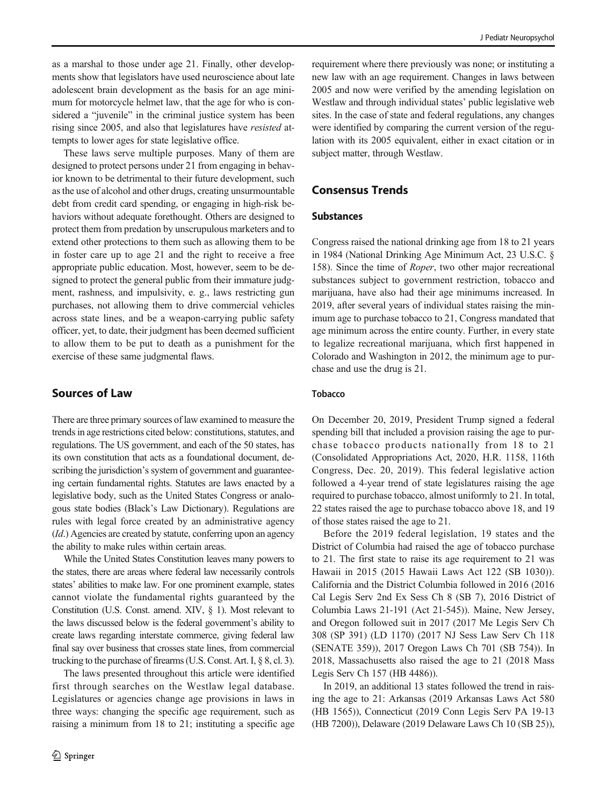as a marshal to those under age 21. Finally, other developments show that legislators have used neuroscience about late adolescent brain development as the basis for an age minimum for motorcycle helmet law, that the age for who is considered a "juvenile" in the criminal justice system has been rising since 2005, and also that legislatures have resisted attempts to lower ages for state legislative office.

These laws serve multiple purposes. Many of them are designed to protect persons under 21 from engaging in behavior known to be detrimental to their future development, such as the use of alcohol and other drugs, creating unsurmountable debt from credit card spending, or engaging in high-risk behaviors without adequate forethought. Others are designed to protect them from predation by unscrupulous marketers and to extend other protections to them such as allowing them to be in foster care up to age 21 and the right to receive a free appropriate public education. Most, however, seem to be designed to protect the general public from their immature judgment, rashness, and impulsivity, e. g., laws restricting gun purchases, not allowing them to drive commercial vehicles across state lines, and be a weapon-carrying public safety officer, yet, to date, their judgment has been deemed sufficient to allow them to be put to death as a punishment for the exercise of these same judgmental flaws.

# Sources of Law

There are three primary sources of law examined to measure the trends in age restrictions cited below: constitutions, statutes, and regulations. The US government, and each of the 50 states, has its own constitution that acts as a foundational document, describing the jurisdiction's system of government and guaranteeing certain fundamental rights. Statutes are laws enacted by a legislative body, such as the United States Congress or analogous state bodies (Black's Law Dictionary). Regulations are rules with legal force created by an administrative agency (Id.) Agencies are created by statute, conferring upon an agency the ability to make rules within certain areas.

While the United States Constitution leaves many powers to the states, there are areas where federal law necessarily controls states' abilities to make law. For one prominent example, states cannot violate the fundamental rights guaranteed by the Constitution (U.S. Const. amend. XIV, § 1). Most relevant to the laws discussed below is the federal government's ability to create laws regarding interstate commerce, giving federal law final say over business that crosses state lines, from commercial trucking to the purchase of firearms (U.S. Const. Art. I, § 8, cl. 3).

The laws presented throughout this article were identified first through searches on the Westlaw legal database. Legislatures or agencies change age provisions in laws in three ways: changing the specific age requirement, such as raising a minimum from 18 to 21; instituting a specific age

requirement where there previously was none; or instituting a new law with an age requirement. Changes in laws between 2005 and now were verified by the amending legislation on Westlaw and through individual states' public legislative web sites. In the case of state and federal regulations, any changes were identified by comparing the current version of the regulation with its 2005 equivalent, either in exact citation or in subject matter, through Westlaw.

# Consensus Trends

## Substances

Congress raised the national drinking age from 18 to 21 years in 1984 (National Drinking Age Minimum Act, 23 U.S.C. § 158). Since the time of Roper, two other major recreational substances subject to government restriction, tobacco and marijuana, have also had their age minimums increased. In 2019, after several years of individual states raising the minimum age to purchase tobacco to 21, Congress mandated that age minimum across the entire county. Further, in every state to legalize recreational marijuana, which first happened in Colorado and Washington in 2012, the minimum age to purchase and use the drug is 21.

## **Tobacco**

On December 20, 2019, President Trump signed a federal spending bill that included a provision raising the age to purchase tobacco products nationally from 18 to 21 (Consolidated Appropriations Act, 2020, H.R. 1158, 116th Congress, Dec. 20, 2019). This federal legislative action followed a 4-year trend of state legislatures raising the age required to purchase tobacco, almost uniformly to 21. In total, 22 states raised the age to purchase tobacco above 18, and 19 of those states raised the age to 21.

Before the 2019 federal legislation, 19 states and the District of Columbia had raised the age of tobacco purchase to 21. The first state to raise its age requirement to 21 was Hawaii in 2015 (2015 Hawaii Laws Act 122 (SB 1030)). California and the District Columbia followed in 2016 (2016 Cal Legis Serv 2nd Ex Sess Ch 8 (SB 7), 2016 District of Columbia Laws 21-191 (Act 21-545)). Maine, New Jersey, and Oregon followed suit in 2017 (2017 Me Legis Serv Ch 308 (SP 391) (LD 1170) (2017 NJ Sess Law Serv Ch 118 (SENATE 359)), 2017 Oregon Laws Ch 701 (SB 754)). In 2018, Massachusetts also raised the age to 21 (2018 Mass Legis Serv Ch 157 (HB 4486)).

In 2019, an additional 13 states followed the trend in raising the age to 21: Arkansas (2019 Arkansas Laws Act 580 (HB 1565)), Connecticut (2019 Conn Legis Serv PA 19-13 (HB 7200)), Delaware (2019 Delaware Laws Ch 10 (SB 25)),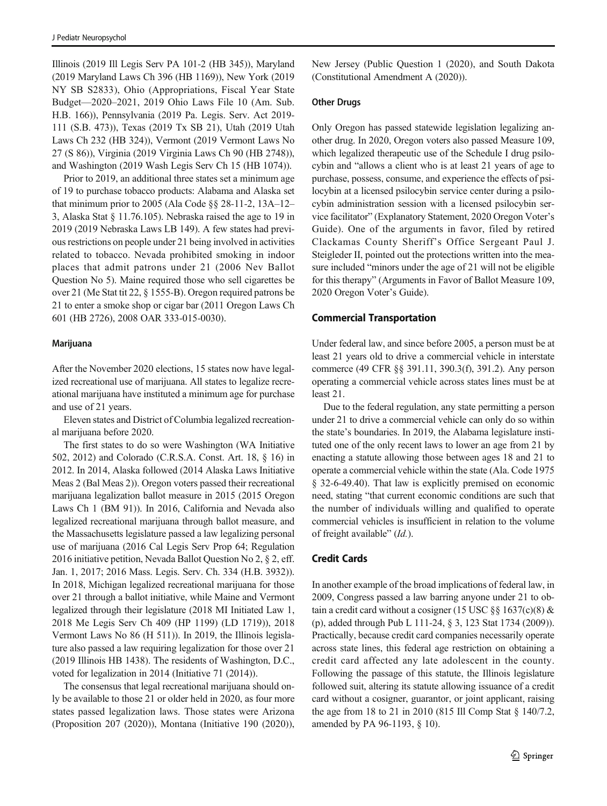Illinois (2019 Ill Legis Serv PA 101-2 (HB 345)), Maryland (2019 Maryland Laws Ch 396 (HB 1169)), New York (2019 NY SB S2833), Ohio (Appropriations, Fiscal Year State Budget—2020–2021, 2019 Ohio Laws File 10 (Am. Sub. H.B. 166)), Pennsylvania (2019 Pa. Legis. Serv. Act 2019- 111 (S.B. 473)), Texas (2019 Tx SB 21), Utah (2019 Utah Laws Ch 232 (HB 324)), Vermont (2019 Vermont Laws No 27 (S 86)), Virginia (2019 Virginia Laws Ch 90 (HB 2748)), and Washington (2019 Wash Legis Serv Ch 15 (HB 1074)).

Prior to 2019, an additional three states set a minimum age of 19 to purchase tobacco products: Alabama and Alaska set that minimum prior to 2005 (Ala Code §§ 28-11-2, 13A–12– 3, Alaska Stat § 11.76.105). Nebraska raised the age to 19 in 2019 (2019 Nebraska Laws LB 149). A few states had previous restrictions on people under 21 being involved in activities related to tobacco. Nevada prohibited smoking in indoor places that admit patrons under 21 (2006 Nev Ballot Question No 5). Maine required those who sell cigarettes be over 21 (Me Stat tit 22, § 1555-B). Oregon required patrons be 21 to enter a smoke shop or cigar bar (2011 Oregon Laws Ch 601 (HB 2726), 2008 OAR 333-015-0030).

#### Marijuana

After the November 2020 elections, 15 states now have legalized recreational use of marijuana. All states to legalize recreational marijuana have instituted a minimum age for purchase and use of 21 years.

Eleven states and District of Columbia legalized recreational marijuana before 2020.

The first states to do so were Washington (WA Initiative 502, 2012) and Colorado (C.R.S.A. Const. Art. 18, § 16) in 2012. In 2014, Alaska followed (2014 Alaska Laws Initiative Meas 2 (Bal Meas 2)). Oregon voters passed their recreational marijuana legalization ballot measure in 2015 (2015 Oregon Laws Ch 1 (BM 91)). In 2016, California and Nevada also legalized recreational marijuana through ballot measure, and the Massachusetts legislature passed a law legalizing personal use of marijuana (2016 Cal Legis Serv Prop 64; Regulation 2016 initiative petition, Nevada Ballot Question No 2, § 2, eff. Jan. 1, 2017; 2016 Mass. Legis. Serv. Ch. 334 (H.B. 3932)). In 2018, Michigan legalized recreational marijuana for those over 21 through a ballot initiative, while Maine and Vermont legalized through their legislature (2018 MI Initiated Law 1, 2018 Me Legis Serv Ch 409 (HP 1199) (LD 1719)), 2018 Vermont Laws No 86 (H 511)). In 2019, the Illinois legislature also passed a law requiring legalization for those over 21 (2019 Illinois HB 1438). The residents of Washington, D.C., voted for legalization in 2014 (Initiative 71 (2014)).

The consensus that legal recreational marijuana should only be available to those 21 or older held in 2020, as four more states passed legalization laws. Those states were Arizona (Proposition 207 (2020)), Montana (Initiative 190 (2020)), New Jersey (Public Question 1 (2020), and South Dakota (Constitutional Amendment A (2020)).

### Other Drugs

Only Oregon has passed statewide legislation legalizing another drug. In 2020, Oregon voters also passed Measure 109, which legalized therapeutic use of the Schedule I drug psilocybin and "allows a client who is at least 21 years of age to purchase, possess, consume, and experience the effects of psilocybin at a licensed psilocybin service center during a psilocybin administration session with a licensed psilocybin service facilitator" (Explanatory Statement, 2020 Oregon Voter's Guide). One of the arguments in favor, filed by retired Clackamas County Sheriff's Office Sergeant Paul J. Steigleder II, pointed out the protections written into the measure included "minors under the age of 21 will not be eligible for this therapy" (Arguments in Favor of Ballot Measure 109, 2020 Oregon Voter's Guide).

### Commercial Transportation

Under federal law, and since before 2005, a person must be at least 21 years old to drive a commercial vehicle in interstate commerce (49 CFR §§ 391.11, 390.3(f), 391.2). Any person operating a commercial vehicle across states lines must be at least 21.

Due to the federal regulation, any state permitting a person under 21 to drive a commercial vehicle can only do so within the state's boundaries. In 2019, the Alabama legislature instituted one of the only recent laws to lower an age from 21 by enacting a statute allowing those between ages 18 and 21 to operate a commercial vehicle within the state (Ala. Code 1975 § 32-6-49.40). That law is explicitly premised on economic need, stating "that current economic conditions are such that the number of individuals willing and qualified to operate commercial vehicles is insufficient in relation to the volume of freight available" (Id.).

### Credit Cards

In another example of the broad implications of federal law, in 2009, Congress passed a law barring anyone under 21 to obtain a credit card without a cosigner (15 USC §§ 1637(c)(8)  $&$ (p), added through Pub L 111-24, § 3, 123 Stat 1734 (2009)). Practically, because credit card companies necessarily operate across state lines, this federal age restriction on obtaining a credit card affected any late adolescent in the county. Following the passage of this statute, the Illinois legislature followed suit, altering its statute allowing issuance of a credit card without a cosigner, guarantor, or joint applicant, raising the age from 18 to 21 in 2010 (815 Ill Comp Stat § 140/7.2, amended by PA 96-1193, § 10).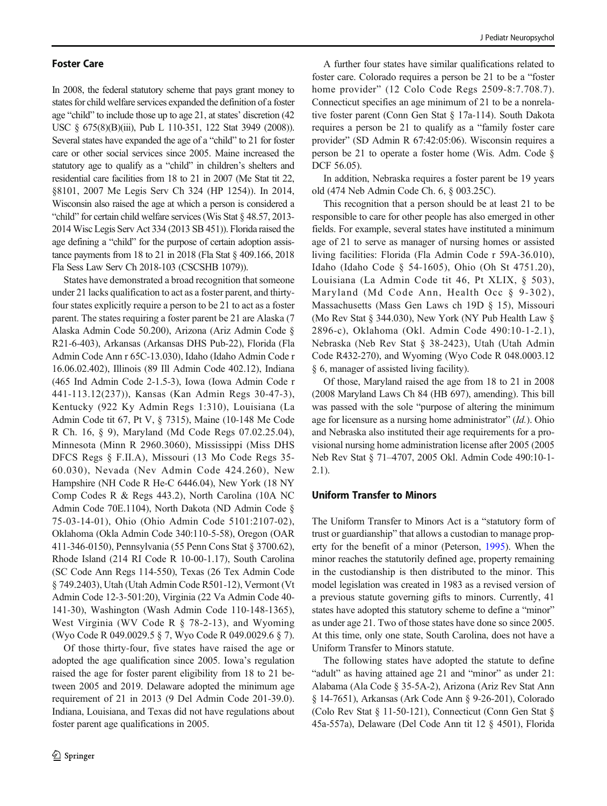#### Foster Care

In 2008, the federal statutory scheme that pays grant money to states for child welfare services expanded the definition of a foster age "child" to include those up to age 21, at states' discretion (42 USC § 675(8)(B)(iii), Pub L 110-351, 122 Stat 3949 (2008)). Several states have expanded the age of a "child" to 21 for foster care or other social services since 2005. Maine increased the statutory age to qualify as a "child" in children's shelters and residential care facilities from 18 to 21 in 2007 (Me Stat tit 22, §8101, 2007 Me Legis Serv Ch 324 (HP 1254)). In 2014, Wisconsin also raised the age at which a person is considered a "child" for certain child welfare services (Wis Stat § 48.57, 2013- 2014 Wisc Legis Serv Act 334 (2013 SB 451)). Florida raised the age defining a "child" for the purpose of certain adoption assistance payments from 18 to 21 in 2018 (Fla Stat § 409.166, 2018 Fla Sess Law Serv Ch 2018-103 (CSCSHB 1079)).

States have demonstrated a broad recognition that someone under 21 lacks qualification to act as a foster parent, and thirtyfour states explicitly require a person to be 21 to act as a foster parent. The states requiring a foster parent be 21 are Alaska (7 Alaska Admin Code 50.200), Arizona (Ariz Admin Code § R21-6-403), Arkansas (Arkansas DHS Pub-22), Florida (Fla Admin Code Ann r 65C-13.030), Idaho (Idaho Admin Code r 16.06.02.402), Illinois (89 Ill Admin Code 402.12), Indiana (465 Ind Admin Code 2-1.5-3), Iowa (Iowa Admin Code r 441-113.12(237)), Kansas (Kan Admin Regs 30-47-3), Kentucky (922 Ky Admin Regs 1:310), Louisiana (La Admin Code tit 67, Pt V, § 7315), Maine (10-148 Me Code R Ch. 16, § 9), Maryland (Md Code Regs 07.02.25.04), Minnesota (Minn R 2960.3060), Mississippi (Miss DHS DFCS Regs § F.II.A), Missouri (13 Mo Code Regs 35- 60.030), Nevada (Nev Admin Code 424.260), New Hampshire (NH Code R He-C 6446.04), New York (18 NY Comp Codes R & Regs 443.2), North Carolina (10A NC Admin Code 70E.1104), North Dakota (ND Admin Code § 75-03-14-01), Ohio (Ohio Admin Code 5101:2107-02), Oklahoma (Okla Admin Code 340:110-5-58), Oregon (OAR 411-346-0150), Pennsylvania (55 Penn Cons Stat § 3700.62), Rhode Island (214 RI Code R 10-00-1.17), South Carolina (SC Code Ann Regs 114-550), Texas (26 Tex Admin Code § 749.2403), Utah (Utah Admin Code R501-12), Vermont (Vt Admin Code 12-3-501:20), Virginia (22 Va Admin Code 40- 141-30), Washington (Wash Admin Code 110-148-1365), West Virginia (WV Code R § 78-2-13), and Wyoming (Wyo Code R 049.0029.5 § 7, Wyo Code R 049.0029.6 § 7).

Of those thirty-four, five states have raised the age or adopted the age qualification since 2005. Iowa's regulation raised the age for foster parent eligibility from 18 to 21 between 2005 and 2019. Delaware adopted the minimum age requirement of 21 in 2013 (9 Del Admin Code 201-39.0). Indiana, Louisiana, and Texas did not have regulations about foster parent age qualifications in 2005.

A further four states have similar qualifications related to foster care. Colorado requires a person be 21 to be a "foster home provider" (12 Colo Code Regs 2509-8:7.708.7). Connecticut specifies an age minimum of 21 to be a nonrelative foster parent (Conn Gen Stat § 17a-114). South Dakota requires a person be 21 to qualify as a "family foster care provider" (SD Admin R 67:42:05:06). Wisconsin requires a person be 21 to operate a foster home (Wis. Adm. Code § DCF 56.05).

In addition, Nebraska requires a foster parent be 19 years old (474 Neb Admin Code Ch. 6, § 003.25C).

This recognition that a person should be at least 21 to be responsible to care for other people has also emerged in other fields. For example, several states have instituted a minimum age of 21 to serve as manager of nursing homes or assisted living facilities: Florida (Fla Admin Code r 59A-36.010), Idaho (Idaho Code § 54-1605), Ohio (Oh St 4751.20), Louisiana (La Admin Code tit 46, Pt XLIX, § 503), Maryland (Md Code Ann, Health Occ § 9-302), Massachusetts (Mass Gen Laws ch 19D § 15), Missouri (Mo Rev Stat § 344.030), New York (NY Pub Health Law § 2896-c), Oklahoma (Okl. Admin Code 490:10-1-2.1), Nebraska (Neb Rev Stat § 38-2423), Utah (Utah Admin Code R432-270), and Wyoming (Wyo Code R 048.0003.12 § 6, manager of assisted living facility).

Of those, Maryland raised the age from 18 to 21 in 2008 (2008 Maryland Laws Ch 84 (HB 697), amending). This bill was passed with the sole "purpose of altering the minimum age for licensure as a nursing home administrator" (Id.). Ohio and Nebraska also instituted their age requirements for a provisional nursing home administration license after 2005 (2005 Neb Rev Stat § 71–4707, 2005 Okl. Admin Code 490:10-1- 2.1).

## Uniform Transfer to Minors

The Uniform Transfer to Minors Act is a "statutory form of trust or guardianship" that allows a custodian to manage property for the benefit of a minor (Peterson, [1995\)](#page-13-0). When the minor reaches the statutorily defined age, property remaining in the custodianship is then distributed to the minor. This model legislation was created in 1983 as a revised version of a previous statute governing gifts to minors. Currently, 41 states have adopted this statutory scheme to define a "minor" as under age 21. Two of those states have done so since 2005. At this time, only one state, South Carolina, does not have a Uniform Transfer to Minors statute.

The following states have adopted the statute to define "adult" as having attained age 21 and "minor" as under 21: Alabama (Ala Code § 35-5A-2), Arizona (Ariz Rev Stat Ann § 14-7651), Arkansas (Ark Code Ann § 9-26-201), Colorado (Colo Rev Stat § 11-50-121), Connecticut (Conn Gen Stat § 45a-557a), Delaware (Del Code Ann tit 12 § 4501), Florida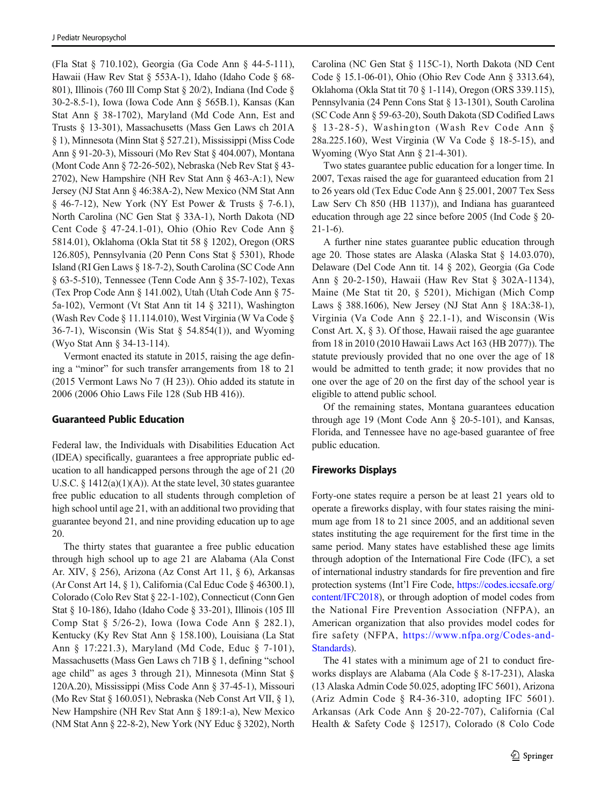(Fla Stat § 710.102), Georgia (Ga Code Ann § 44-5-111), Hawaii (Haw Rev Stat § 553A-1), Idaho (Idaho Code § 68- 801), Illinois (760 Ill Comp Stat § 20/2), Indiana (Ind Code § 30-2-8.5-1), Iowa (Iowa Code Ann § 565B.1), Kansas (Kan Stat Ann § 38-1702), Maryland (Md Code Ann, Est and Trusts § 13-301), Massachusetts (Mass Gen Laws ch 201A § 1), Minnesota (Minn Stat § 527.21), Mississippi (Miss Code Ann § 91-20-3), Missouri (Mo Rev Stat § 404.007), Montana (Mont Code Ann § 72-26-502), Nebraska (Neb Rev Stat § 43- 2702), New Hampshire (NH Rev Stat Ann § 463-A:1), New Jersey (NJ Stat Ann § 46:38A-2), New Mexico (NM Stat Ann § 46-7-12), New York (NY Est Power & Trusts § 7-6.1), North Carolina (NC Gen Stat § 33A-1), North Dakota (ND Cent Code § 47-24.1-01), Ohio (Ohio Rev Code Ann § 5814.01), Oklahoma (Okla Stat tit 58 § 1202), Oregon (ORS 126.805), Pennsylvania (20 Penn Cons Stat § 5301), Rhode Island (RI Gen Laws § 18-7-2), South Carolina (SC Code Ann § 63-5-510), Tennessee (Tenn Code Ann § 35-7-102), Texas (Tex Prop Code Ann § 141.002), Utah (Utah Code Ann § 75- 5a-102), Vermont (Vt Stat Ann tit 14 § 3211), Washington (Wash Rev Code § 11.114.010), West Virginia (W Va Code § 36-7-1), Wisconsin (Wis Stat  $\S$  54.854(1)), and Wyoming (Wyo Stat Ann § 34-13-114).

Vermont enacted its statute in 2015, raising the age defining a "minor" for such transfer arrangements from 18 to 21 (2015 Vermont Laws No 7 (H 23)). Ohio added its statute in 2006 (2006 Ohio Laws File 128 (Sub HB 416)).

## Guaranteed Public Education

Federal law, the Individuals with Disabilities Education Act (IDEA) specifically, guarantees a free appropriate public education to all handicapped persons through the age of 21 (20 U.S.C.  $\S$  1412(a)(1)(A)). At the state level, 30 states guarantee free public education to all students through completion of high school until age 21, with an additional two providing that guarantee beyond 21, and nine providing education up to age 20.

The thirty states that guarantee a free public education through high school up to age 21 are Alabama (Ala Const Ar. XIV, § 256), Arizona (Az Const Art 11, § 6), Arkansas (Ar Const Art 14, § 1), California (Cal Educ Code § 46300.1), Colorado (Colo Rev Stat § 22-1-102), Connecticut (Conn Gen Stat § 10-186), Idaho (Idaho Code § 33-201), Illinois (105 Ill Comp Stat § 5/26-2), Iowa (Iowa Code Ann § 282.1), Kentucky (Ky Rev Stat Ann § 158.100), Louisiana (La Stat Ann § 17:221.3), Maryland (Md Code, Educ § 7-101), Massachusetts (Mass Gen Laws ch 71B § 1, defining "school age child" as ages 3 through 21), Minnesota (Minn Stat § 120A.20), Mississippi (Miss Code Ann § 37-45-1), Missouri (Mo Rev Stat § 160.051), Nebraska (Neb Const Art VII, § 1), New Hampshire (NH Rev Stat Ann § 189:1-a), New Mexico (NM Stat Ann § 22-8-2), New York (NY Educ § 3202), North Carolina (NC Gen Stat § 115C-1), North Dakota (ND Cent Code § 15.1-06-01), Ohio (Ohio Rev Code Ann § 3313.64), Oklahoma (Okla Stat tit 70 § 1-114), Oregon (ORS 339.115), Pennsylvania (24 Penn Cons Stat § 13-1301), South Carolina (SC Code Ann § 59-63-20), South Dakota (SD Codified Laws § 13-28-5), Washington (Wash Rev Code Ann § 28a.225.160), West Virginia (W Va Code § 18-5-15), and Wyoming (Wyo Stat Ann § 21-4-301).

Two states guarantee public education for a longer time. In 2007, Texas raised the age for guaranteed education from 21 to 26 years old (Tex Educ Code Ann § 25.001, 2007 Tex Sess Law Serv Ch 850 (HB 1137)), and Indiana has guaranteed education through age 22 since before 2005 (Ind Code § 20-  $21-1-6$ ).

A further nine states guarantee public education through age 20. Those states are Alaska (Alaska Stat § 14.03.070), Delaware (Del Code Ann tit. 14 § 202), Georgia (Ga Code Ann § 20-2-150), Hawaii (Haw Rev Stat § 302A-1134), Maine (Me Stat tit 20, § 5201), Michigan (Mich Comp Laws § 388.1606), New Jersey (NJ Stat Ann § 18A:38-1), Virginia (Va Code Ann § 22.1-1), and Wisconsin (Wis Const Art.  $X$ ,  $\S$  3). Of those, Hawaii raised the age guarantee from 18 in 2010 (2010 Hawaii Laws Act 163 (HB 2077)). The statute previously provided that no one over the age of 18 would be admitted to tenth grade; it now provides that no one over the age of 20 on the first day of the school year is eligible to attend public school.

Of the remaining states, Montana guarantees education through age 19 (Mont Code Ann § 20-5-101), and Kansas, Florida, and Tennessee have no age-based guarantee of free public education.

# Fireworks Displays

Forty-one states require a person be at least 21 years old to operate a fireworks display, with four states raising the minimum age from 18 to 21 since 2005, and an additional seven states instituting the age requirement for the first time in the same period. Many states have established these age limits through adoption of the International Fire Code (IFC), a set of international industry standards for fire prevention and fire protection systems (Int'l Fire Code, [https://codes.iccsafe.org/](https://codes.iccsafe.org/content/IFC2018) [content/IFC2018\)](https://codes.iccsafe.org/content/IFC2018), or through adoption of model codes from the National Fire Prevention Association (NFPA), an American organization that also provides model codes for fire safety (NFPA, [https://www.nfpa.org/Codes-and-](https://www.nfpa.org/Codes-and-Standards)[Standards](https://www.nfpa.org/Codes-and-Standards)).

The 41 states with a minimum age of 21 to conduct fireworks displays are Alabama (Ala Code § 8-17-231), Alaska (13 Alaska Admin Code 50.025, adopting IFC 5601), Arizona (Ariz Admin Code § R4-36-310, adopting IFC 5601). Arkansas (Ark Code Ann § 20-22-707), California (Cal Health & Safety Code § 12517), Colorado (8 Colo Code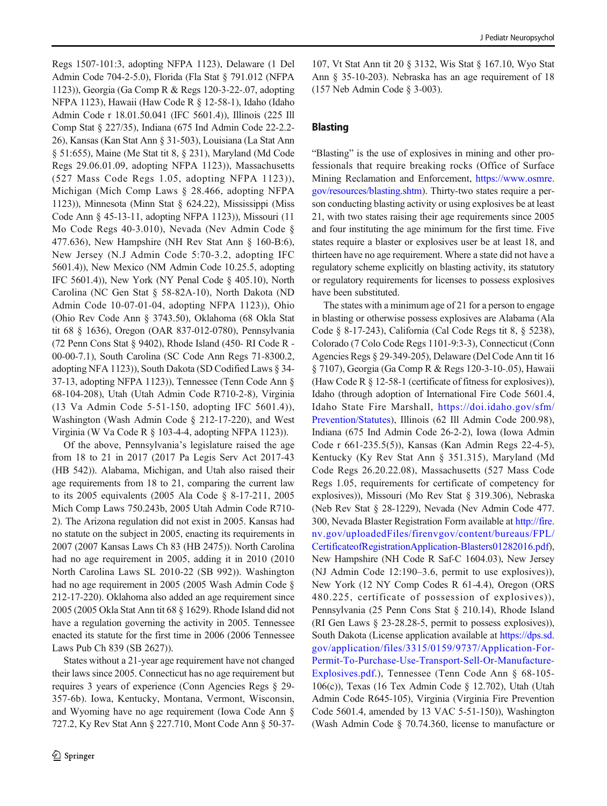Regs 1507-101:3, adopting NFPA 1123), Delaware (1 Del Admin Code 704-2-5.0), Florida (Fla Stat § 791.012 (NFPA 1123)), Georgia (Ga Comp R & Regs 120-3-22-.07, adopting NFPA 1123), Hawaii (Haw Code R § 12-58-1), Idaho (Idaho Admin Code r 18.01.50.041 (IFC 5601.4)), Illinois (225 Ill Comp Stat § 227/35), Indiana (675 Ind Admin Code 22-2.2- 26), Kansas (Kan Stat Ann § 31-503), Louisiana (La Stat Ann § 51:655), Maine (Me Stat tit 8, § 231), Maryland (Md Code Regs 29.06.01.09, adopting NFPA 1123)), Massachusetts (527 Mass Code Regs 1.05, adopting NFPA 1123)), Michigan (Mich Comp Laws § 28.466, adopting NFPA 1123)), Minnesota (Minn Stat § 624.22), Mississippi (Miss Code Ann § 45-13-11, adopting NFPA 1123)), Missouri (11 Mo Code Regs 40-3.010), Nevada (Nev Admin Code § 477.636), New Hampshire (NH Rev Stat Ann § 160-B:6), New Jersey (N.J Admin Code 5:70-3.2, adopting IFC 5601.4)), New Mexico (NM Admin Code 10.25.5, adopting IFC 5601.4)), New York (NY Penal Code § 405.10), North Carolina (NC Gen Stat § 58-82A-10), North Dakota (ND Admin Code 10-07-01-04, adopting NFPA 1123)), Ohio (Ohio Rev Code Ann § 3743.50), Oklahoma (68 Okla Stat tit 68 § 1636), Oregon (OAR 837-012-0780), Pennsylvania (72 Penn Cons Stat § 9402), Rhode Island (450- RI Code R - 00-00-7.1), South Carolina (SC Code Ann Regs 71-8300.2, adopting NFA 1123)), South Dakota (SD Codified Laws § 34- 37-13, adopting NFPA 1123)), Tennessee (Tenn Code Ann § 68-104-208), Utah (Utah Admin Code R710-2-8), Virginia (13 Va Admin Code 5-51-150, adopting IFC 5601.4)), Washington (Wash Admin Code § 212-17-220), and West Virginia (W Va Code R § 103-4-4, adopting NFPA 1123)).

Of the above, Pennsylvania's legislature raised the age from 18 to 21 in 2017 (2017 Pa Legis Serv Act 2017-43 (HB 542)). Alabama, Michigan, and Utah also raised their age requirements from 18 to 21, comparing the current law to its 2005 equivalents (2005 Ala Code § 8-17-211, 2005 Mich Comp Laws 750.243b, 2005 Utah Admin Code R710- 2). The Arizona regulation did not exist in 2005. Kansas had no statute on the subject in 2005, enacting its requirements in 2007 (2007 Kansas Laws Ch 83 (HB 2475)). North Carolina had no age requirement in 2005, adding it in 2010 (2010 North Carolina Laws SL 2010-22 (SB 992)). Washington had no age requirement in 2005 (2005 Wash Admin Code § 212-17-220). Oklahoma also added an age requirement since 2005 (2005 Okla Stat Ann tit 68 § 1629). Rhode Island did not have a regulation governing the activity in 2005. Tennessee enacted its statute for the first time in 2006 (2006 Tennessee Laws Pub Ch 839 (SB 2627)).

States without a 21-year age requirement have not changed their laws since 2005. Connecticut has no age requirement but requires 3 years of experience (Conn Agencies Regs § 29- 357-6b). Iowa, Kentucky, Montana, Vermont, Wisconsin, and Wyoming have no age requirement (Iowa Code Ann § 727.2, Ky Rev Stat Ann § 227.710, Mont Code Ann § 50-37-

107, Vt Stat Ann tit 20 § 3132, Wis Stat § 167.10, Wyo Stat Ann § 35-10-203). Nebraska has an age requirement of 18 (157 Neb Admin Code § 3-003).

## Blasting

"Blasting" is the use of explosives in mining and other professionals that require breaking rocks (Office of Surface Mining Reclamation and Enforcement, [https://www.osmre.](https://www.osmre.gov/resources/blasting.shtm) [gov/resources/blasting.shtm](https://www.osmre.gov/resources/blasting.shtm)). Thirty-two states require a person conducting blasting activity or using explosives be at least 21, with two states raising their age requirements since 2005 and four instituting the age minimum for the first time. Five states require a blaster or explosives user be at least 18, and thirteen have no age requirement. Where a state did not have a regulatory scheme explicitly on blasting activity, its statutory or regulatory requirements for licenses to possess explosives have been substituted.

The states with a minimum age of 21 for a person to engage in blasting or otherwise possess explosives are Alabama (Ala Code § 8-17-243), California (Cal Code Regs tit 8, § 5238), Colorado (7 Colo Code Regs 1101-9:3-3), Connecticut (Conn Agencies Regs § 29-349-205), Delaware (Del Code Ann tit 16 § 7107), Georgia (Ga Comp R & Regs 120-3-10-.05), Hawaii (Haw Code R § 12-58-1 (certificate of fitness for explosives)), Idaho (through adoption of International Fire Code 5601.4, Idaho State Fire Marshall, [https://doi.idaho.gov/sfm/](https://doi.idaho.gov/sfm/Prevention/Statutes) [Prevention/Statutes](https://doi.idaho.gov/sfm/Prevention/Statutes)), Illinois (62 Ill Admin Code 200.98), Indiana (675 Ind Admin Code 26-2-2), Iowa (Iowa Admin Code r 661-235.5(5)), Kansas (Kan Admin Regs 22-4-5), Kentucky (Ky Rev Stat Ann § 351.315), Maryland (Md Code Regs 26.20.22.08), Massachusetts (527 Mass Code Regs 1.05, requirements for certificate of competency for explosives)), Missouri (Mo Rev Stat § 319.306), Nebraska (Neb Rev Stat § 28-1229), Nevada (Nev Admin Code 477. 300, Nevada Blaster Registration Form available at [http://fire.](http://fire.nv.gov/uploadedFiles/firenvgov/content/bureaus/FPL/CertificateofRegistrationApplication-Blasters01282016.pdf) [nv.gov/uploadedFiles/firenvgov/content/bureaus/FPL/](http://fire.nv.gov/uploadedFiles/firenvgov/content/bureaus/FPL/CertificateofRegistrationApplication-Blasters01282016.pdf) [CertificateofRegistrationApplication-Blasters01282016.pdf\)](http://fire.nv.gov/uploadedFiles/firenvgov/content/bureaus/FPL/CertificateofRegistrationApplication-Blasters01282016.pdf), New Hampshire (NH Code R Saf-C 1604.03), New Jersey (NJ Admin Code 12:190–3.6, permit to use explosives)), New York (12 NY Comp Codes R 61-4.4), Oregon (ORS 480.225, certificate of possession of explosives)), Pennsylvania (25 Penn Cons Stat § 210.14), Rhode Island (RI Gen Laws § 23-28.28-5, permit to possess explosives)), South Dakota (License application available at [https://dps.sd.](https://dps.sd.gov/application/files/3315/0159/9737/Application-For-Permit-To-Purchase-Use-Transport-Sell-Or-Manufacture-Explosives.pdf) [gov/application/files/3315/0159/9737/Application-For-](https://dps.sd.gov/application/files/3315/0159/9737/Application-For-Permit-To-Purchase-Use-Transport-Sell-Or-Manufacture-Explosives.pdf)[Permit-To-Purchase-Use-Transport-Sell-Or-Manufacture-](https://dps.sd.gov/application/files/3315/0159/9737/Application-For-Permit-To-Purchase-Use-Transport-Sell-Or-Manufacture-Explosives.pdf)[Explosives.pdf.](https://dps.sd.gov/application/files/3315/0159/9737/Application-For-Permit-To-Purchase-Use-Transport-Sell-Or-Manufacture-Explosives.pdf)), Tennessee (Tenn Code Ann § 68-105- 106(c)), Texas (16 Tex Admin Code § 12.702), Utah (Utah Admin Code R645-105), Virginia (Virginia Fire Prevention Code 5601.4, amended by 13 VAC 5-51-150)), Washington (Wash Admin Code § 70.74.360, license to manufacture or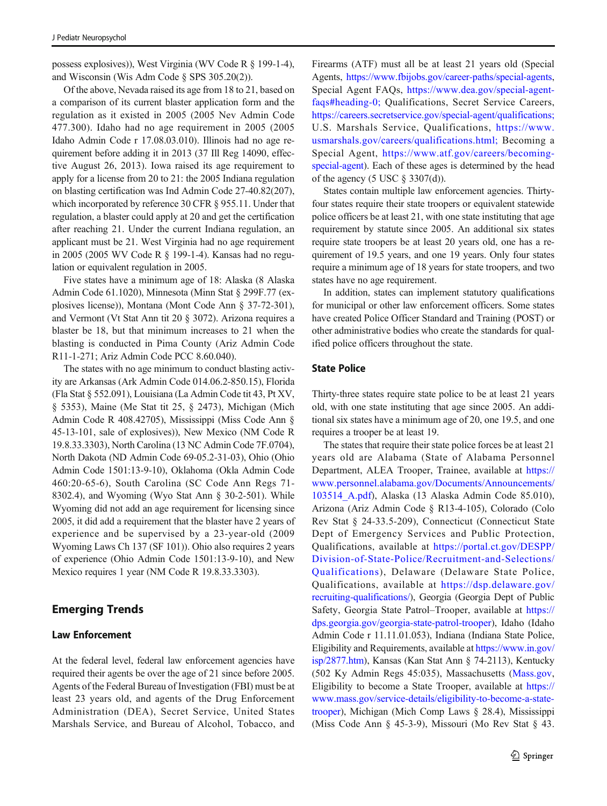possess explosives)), West Virginia (WV Code R § 199-1-4), and Wisconsin (Wis Adm Code § SPS 305.20(2)).

Of the above, Nevada raised its age from 18 to 21, based on a comparison of its current blaster application form and the regulation as it existed in 2005 (2005 Nev Admin Code 477.300). Idaho had no age requirement in 2005 (2005 Idaho Admin Code r 17.08.03.010). Illinois had no age requirement before adding it in 2013 (37 Ill Reg 14090, effective August 26, 2013). Iowa raised its age requirement to apply for a license from 20 to 21: the 2005 Indiana regulation on blasting certification was Ind Admin Code 27-40.82(207), which incorporated by reference 30 CFR § 955.11. Under that regulation, a blaster could apply at 20 and get the certification after reaching 21. Under the current Indiana regulation, an applicant must be 21. West Virginia had no age requirement in 2005 (2005 WV Code R § 199-1-4). Kansas had no regulation or equivalent regulation in 2005.

Five states have a minimum age of 18: Alaska (8 Alaska Admin Code 61.1020), Minnesota (Minn Stat § 299F.77 (explosives license)), Montana (Mont Code Ann § 37-72-301), and Vermont (Vt Stat Ann tit 20 § 3072). Arizona requires a blaster be 18, but that minimum increases to 21 when the blasting is conducted in Pima County (Ariz Admin Code R11-1-271; Ariz Admin Code PCC 8.60.040).

The states with no age minimum to conduct blasting activity are Arkansas (Ark Admin Code 014.06.2-850.15), Florida (Fla Stat § 552.091), Louisiana (La Admin Code tit 43, Pt XV, § 5353), Maine (Me Stat tit 25, § 2473), Michigan (Mich Admin Code R 408.42705), Mississippi (Miss Code Ann § 45-13-101, sale of explosives)), New Mexico (NM Code R 19.8.33.3303), North Carolina (13 NC Admin Code 7F.0704), North Dakota (ND Admin Code 69-05.2-31-03), Ohio (Ohio Admin Code 1501:13-9-10), Oklahoma (Okla Admin Code 460:20-65-6), South Carolina (SC Code Ann Regs 71- 8302.4), and Wyoming (Wyo Stat Ann § 30-2-501). While Wyoming did not add an age requirement for licensing since 2005, it did add a requirement that the blaster have 2 years of experience and be supervised by a 23-year-old (2009 Wyoming Laws Ch 137 (SF 101)). Ohio also requires 2 years of experience (Ohio Admin Code 1501:13-9-10), and New Mexico requires 1 year (NM Code R 19.8.33.3303).

# Emerging Trends

## Law Enforcement

At the federal level, federal law enforcement agencies have required their agents be over the age of 21 since before 2005. Agents of the Federal Bureau of Investigation (FBI) must be at least 23 years old, and agents of the Drug Enforcement Administration (DEA), Secret Service, United States Marshals Service, and Bureau of Alcohol, Tobacco, and

Firearms (ATF) must all be at least 21 years old (Special Agents, [https://www.fbijobs.gov/career-paths/special-agents,](https://www.fbijobs.gov/career-paths/special-agents) Special Agent FAQs, [https://www.dea.gov/special-agent](https://www.dea.gov/special-agent-faqs#heading-0;)[faqs#heading-0;](https://www.dea.gov/special-agent-faqs#heading-0;) Qualifications, Secret Service Careers, <https://careers.secretservice.gov/special-agent/qualifications;> U.S. Marshals Service, Qualifications, [https://www.](https://www.usmarshals.gov/careers/qualifications.html;) [usmarshals.gov/careers/qualifications.html;](https://www.usmarshals.gov/careers/qualifications.html;) Becoming a Special Agent, [https://www.atf.gov/careers/becoming](https://www.atf.gov/careers/becoming-special-agent)[special-agent\)](https://www.atf.gov/careers/becoming-special-agent). Each of these ages is determined by the head of the agency (5 USC  $\S$  3307(d)).

States contain multiple law enforcement agencies. Thirtyfour states require their state troopers or equivalent statewide police officers be at least 21, with one state instituting that age requirement by statute since 2005. An additional six states require state troopers be at least 20 years old, one has a requirement of 19.5 years, and one 19 years. Only four states require a minimum age of 18 years for state troopers, and two states have no age requirement.

In addition, states can implement statutory qualifications for municipal or other law enforcement officers. Some states have created Police Officer Standard and Training (POST) or other administrative bodies who create the standards for qualified police officers throughout the state.

## State Police

Thirty-three states require state police to be at least 21 years old, with one state instituting that age since 2005. An additional six states have a minimum age of 20, one 19.5, and one requires a trooper be at least 19.

The states that require their state police forces be at least 21 years old are Alabama (State of Alabama Personnel Department, ALEA Trooper, Trainee, available at [https://](https://www.personnel.alabama.gov/Documents/Announcements/103514_A.pdf) [www.personnel.alabama.gov/Documents/Announcements/](https://www.personnel.alabama.gov/Documents/Announcements/103514_A.pdf) [103514\\_A.pdf](https://www.personnel.alabama.gov/Documents/Announcements/103514_A.pdf)), Alaska (13 Alaska Admin Code 85.010), Arizona (Ariz Admin Code § R13-4-105), Colorado (Colo Rev Stat § 24-33.5-209), Connecticut (Connecticut State Dept of Emergency Services and Public Protection, Qualifications, available at [https://portal.ct.gov/DESPP/](https://portal.ct.gov/DESPP/Division-of-State-Police/Recruitment-and-Selections/Qualifications) [Division-of-State-Police/Recruitment-and-Selections/](https://portal.ct.gov/DESPP/Division-of-State-Police/Recruitment-and-Selections/Qualifications) [Qualifications](https://portal.ct.gov/DESPP/Division-of-State-Police/Recruitment-and-Selections/Qualifications)), Delaware (Delaware State Police, Qualifications, available at [https://dsp.delaware.gov/](https://dsp.delaware.gov/recruiting-qualifications/) [recruiting-qualifications/](https://dsp.delaware.gov/recruiting-qualifications/)), Georgia (Georgia Dept of Public Safety, Georgia State Patrol–Trooper, available at [https://](https://dps.georgia.gov/georgia-state-patrol-trooper) [dps.georgia.gov/georgia-state-patrol-trooper](https://dps.georgia.gov/georgia-state-patrol-trooper)), Idaho (Idaho Admin Code r 11.11.01.053), Indiana (Indiana State Police, Eligibility and Requirements, available at [https://www.in.gov/](https://www.in.gov/isp/2877.htm) [isp/2877.htm](https://www.in.gov/isp/2877.htm)), Kansas (Kan Stat Ann § 74-2113), Kentucky (502 Ky Admin Regs 45:035), Massachusetts ([Mass.gov,](http://mass.gov) Eligibility to become a State Trooper, available at [https://](https://www.mass.gov/service-details/eligibility-to-become-a-state-trooper) [www.mass.gov/service-details/eligibility-to-become-a-state](https://www.mass.gov/service-details/eligibility-to-become-a-state-trooper)[trooper](https://www.mass.gov/service-details/eligibility-to-become-a-state-trooper)), Michigan (Mich Comp Laws § 28.4), Mississippi (Miss Code Ann § 45-3-9), Missouri (Mo Rev Stat § 43.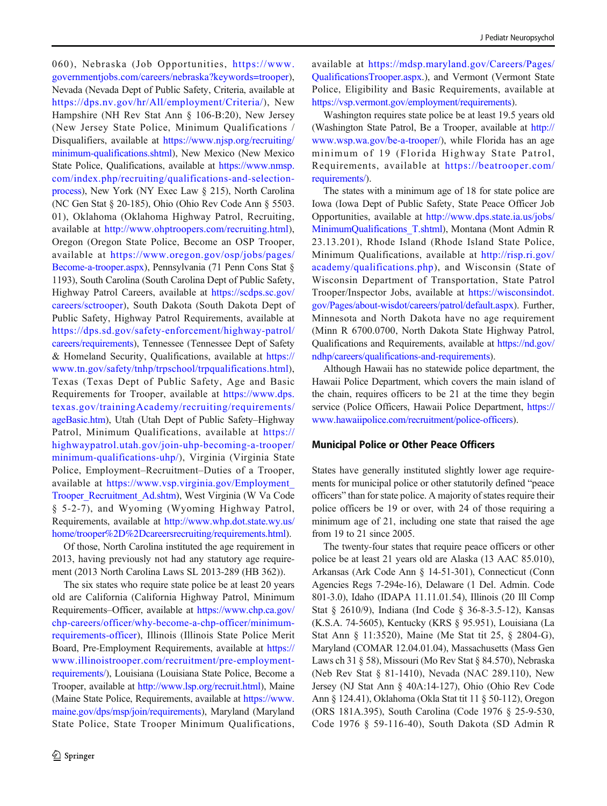060), Nebraska (Job Opportunities, [https://www.](https://www.governmentjobs.com/careers/nebraska?keywords=trooper) [governmentjobs.com/careers/nebraska?keywords=trooper](https://www.governmentjobs.com/careers/nebraska?keywords=trooper)), Nevada (Nevada Dept of Public Safety, Criteria, available at <https://dps.nv.gov/hr/All/employment/Criteria/>), New Hampshire (NH Rev Stat Ann § 106-B:20), New Jersey (New Jersey State Police, Minimum Qualifications / Disqualifiers, available at [https://www.njsp.org/recruiting/](https://www.njsp.org/recruiting/minimum-qualifications.shtml) [minimum-qualifications.shtml\)](https://www.njsp.org/recruiting/minimum-qualifications.shtml), New Mexico (New Mexico State Police, Qualifications, available at [https://www.nmsp.](https://www.nmsp.com/index.php/recruiting/qualifications-and-selection-process) [com/index.php/recruiting/qualifications-and-selection](https://www.nmsp.com/index.php/recruiting/qualifications-and-selection-process)[process\)](https://www.nmsp.com/index.php/recruiting/qualifications-and-selection-process), New York (NY Exec Law § 215), North Carolina (NC Gen Stat § 20-185), Ohio (Ohio Rev Code Ann § 5503. 01), Oklahoma (Oklahoma Highway Patrol, Recruiting, available at <http://www.ohptroopers.com/recruiting.html>), Oregon (Oregon State Police, Become an OSP Trooper, available at [https://www.oregon.gov/osp/jobs/pages/](https://www.oregon.gov/osp/jobs/pages/Become-a-trooper.aspx) [Become-a-trooper.aspx](https://www.oregon.gov/osp/jobs/pages/Become-a-trooper.aspx)), Pennsylvania (71 Penn Cons Stat § 1193), South Carolina (South Carolina Dept of Public Safety, Highway Patrol Careers, available at [https://scdps.sc.gov/](https://scdps.sc.gov/careers/sctrooper) [careers/sctrooper\)](https://scdps.sc.gov/careers/sctrooper), South Dakota (South Dakota Dept of Public Safety, Highway Patrol Requirements, available at [https://dps.sd.gov/safety-enforcement/highway-patrol/](https://dps.sd.gov/safety-enforcement/highway-patrol/careers/requirements) [careers/requirements\)](https://dps.sd.gov/safety-enforcement/highway-patrol/careers/requirements), Tennessee (Tennessee Dept of Safety & Homeland Security, Qualifications, available at [https://](https://www.tn.gov/safety/tnhp/trpschool/trpqualifications.html) [www.tn.gov/safety/tnhp/trpschool/trpqualifications.html](https://www.tn.gov/safety/tnhp/trpschool/trpqualifications.html)), Texas (Texas Dept of Public Safety, Age and Basic Requirements for Trooper, available at [https://www.dps.](https://www.dps.texas.gov/trainingAcademy/recruiting/requirements/ageBasic.htm) [texas.gov/trainingAcademy/recruiting/requirements/](https://www.dps.texas.gov/trainingAcademy/recruiting/requirements/ageBasic.htm) [ageBasic.htm\)](https://www.dps.texas.gov/trainingAcademy/recruiting/requirements/ageBasic.htm), Utah (Utah Dept of Public Safety–Highway Patrol, Minimum Qualifications, available at [https://](https://highwaypatrol.utah.gov/join-uhp-becoming-a-trooper/minimum-qualifications-uhp/) [highwaypatrol.utah.gov/join-uhp-becoming-a-trooper/](https://highwaypatrol.utah.gov/join-uhp-becoming-a-trooper/minimum-qualifications-uhp/) [minimum-qualifications-uhp/\)](https://highwaypatrol.utah.gov/join-uhp-becoming-a-trooper/minimum-qualifications-uhp/), Virginia (Virginia State Police, Employment–Recruitment–Duties of a Trooper, available at [https://www.vsp.virginia.gov/Employment\\_](https://www.vsp.virginia.gov/Employment_Trooper_Recruitment_Ad.shtm) [Trooper\\_Recruitment\\_Ad.shtm\)](https://www.vsp.virginia.gov/Employment_Trooper_Recruitment_Ad.shtm), West Virginia (W Va Code § 5-2-7), and Wyoming (Wyoming Highway Patrol, Requirements, available at [http://www.whp.dot.state.wy.us/](http://www.whp.dot.state.wy.us/home/trooper%2D%2Dcareersrecruiting/requirements.html) [home/trooper%2D%2Dcareersrecruiting/requirements.html\)](http://www.whp.dot.state.wy.us/home/trooper%2D%2Dcareersrecruiting/requirements.html).

Of those, North Carolina instituted the age requirement in 2013, having previously not had any statutory age requirement (2013 North Carolina Laws SL 2013-289 (HB 362)).

The six states who require state police be at least 20 years old are California (California Highway Patrol, Minimum Requirements–Officer, available at [https://www.chp.ca.gov/](https://www.chp.ca.gov/chp-careers/officer/why-become-a-chp-officer/minimum-requirements-officer) [chp-careers/officer/why-become-a-chp-officer/minimum](https://www.chp.ca.gov/chp-careers/officer/why-become-a-chp-officer/minimum-requirements-officer)[requirements-officer](https://www.chp.ca.gov/chp-careers/officer/why-become-a-chp-officer/minimum-requirements-officer)), Illinois (Illinois State Police Merit Board, Pre-Employment Requirements, available at [https://](https://www.illinoistrooper.com/recruitment/pre-employment-requirements/) [www.illinoistrooper.com/recruitment/pre-employment](https://www.illinoistrooper.com/recruitment/pre-employment-requirements/)[requirements/\)](https://www.illinoistrooper.com/recruitment/pre-employment-requirements/), Louisiana (Louisiana State Police, Become a Trooper, available at [http://www.lsp.org/recruit.html\)](http://www.lsp.org/recruit.html), Maine (Maine State Police, Requirements, available at [https://www.](https://www.maine.gov/dps/msp/join/requirements) [maine.gov/dps/msp/join/requirements](https://www.maine.gov/dps/msp/join/requirements)), Maryland (Maryland State Police, State Trooper Minimum Qualifications, available at [https://mdsp.maryland.gov/Careers/Pages/](https://mdsp.maryland.gov/Careers/Pages/QualificationsTrooper.aspx) [QualificationsTrooper.aspx.](https://mdsp.maryland.gov/Careers/Pages/QualificationsTrooper.aspx)), and Vermont (Vermont State Police, Eligibility and Basic Requirements, available at [https://vsp.vermont.gov/employment/requirements\)](https://vsp.vermont.gov/employment/requirements).

Washington requires state police be at least 19.5 years old (Washington State Patrol, Be a Trooper, available at [http://](http://www.wsp.wa.gov/be-a-trooper/) [www.wsp.wa.gov/be-a-trooper/](http://www.wsp.wa.gov/be-a-trooper/)), while Florida has an age minimum of 19 (Florida Highway State Patrol, Requirements, available at [https://beatrooper.com/](https://beatrooper.com/requirements/) [requirements/](https://beatrooper.com/requirements/)).

The states with a minimum age of 18 for state police are Iowa (Iowa Dept of Public Safety, State Peace Officer Job Opportunities, available at [http://www.dps.state.ia.us/jobs/](http://www.dps.state.ia.us/jobs/MinimumQualifications_T.shtml) [MinimumQualifications\\_T.shtml](http://www.dps.state.ia.us/jobs/MinimumQualifications_T.shtml)), Montana (Mont Admin R 23.13.201), Rhode Island (Rhode Island State Police, Minimum Qualifications, available at [http://risp.ri.gov/](http://risp.ri.gov/academy/qualifications.php) [academy/qualifications.php\)](http://risp.ri.gov/academy/qualifications.php), and Wisconsin (State of Wisconsin Department of Transportation, State Patrol Trooper/Inspector Jobs, available at [https://wisconsindot.](https://wisconsindot.gov/Pages/about-wisdot/careers/patrol/default.aspx) [gov/Pages/about-wisdot/careers/patrol/default.aspx](https://wisconsindot.gov/Pages/about-wisdot/careers/patrol/default.aspx)). Further, Minnesota and North Dakota have no age requirement (Minn R 6700.0700, North Dakota State Highway Patrol, Qualifications and Requirements, available at [https://nd.gov/](https://nd.gov/ndhp/careers/qualifications-and-requirements) [ndhp/careers/qualifications-and-requirements\)](https://nd.gov/ndhp/careers/qualifications-and-requirements).

Although Hawaii has no statewide police department, the Hawaii Police Department, which covers the main island of the chain, requires officers to be 21 at the time they begin service (Police Officers, Hawaii Police Department, [https://](https://www.hawaiipolice.com/recruitment/police-officers) [www.hawaiipolice.com/recruitment/police-officers](https://www.hawaiipolice.com/recruitment/police-officers)).

#### Municipal Police or Other Peace Officers

States have generally instituted slightly lower age requirements for municipal police or other statutorily defined "peace officers" than for state police. A majority of states require their police officers be 19 or over, with 24 of those requiring a minimum age of 21, including one state that raised the age from 19 to 21 since 2005.

The twenty-four states that require peace officers or other police be at least 21 years old are Alaska (13 AAC 85.010), Arkansas (Ark Code Ann § 14-51-301), Connecticut (Conn Agencies Regs 7-294e-16), Delaware (1 Del. Admin. Code 801-3.0), Idaho (IDAPA 11.11.01.54), Illinois (20 Ill Comp Stat § 2610/9), Indiana (Ind Code § 36-8-3.5-12), Kansas (K.S.A. 74-5605), Kentucky (KRS § 95.951), Louisiana (La Stat Ann § 11:3520), Maine (Me Stat tit 25, § 2804-G), Maryland (COMAR 12.04.01.04), Massachusetts (Mass Gen Laws ch 31 § 58), Missouri (Mo Rev Stat § 84.570), Nebraska (Neb Rev Stat § 81-1410), Nevada (NAC 289.110), New Jersey (NJ Stat Ann § 40A:14-127), Ohio (Ohio Rev Code Ann § 124.41), Oklahoma (Okla Stat tit 11 § 50-112), Oregon (ORS 181A.395), South Carolina (Code 1976 § 25-9-530, Code 1976 § 59-116-40), South Dakota (SD Admin R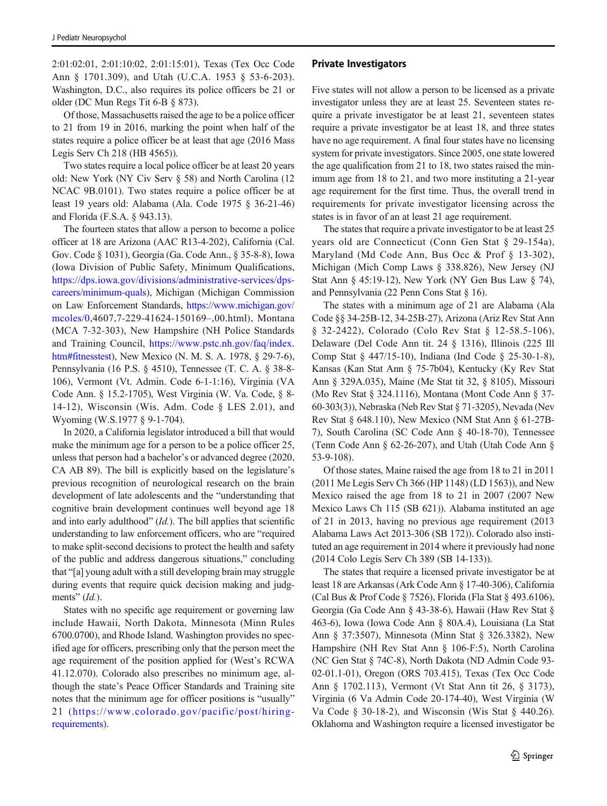2:01:02:01, 2:01:10:02, 2:01:15:01), Texas (Tex Occ Code Ann § 1701.309), and Utah (U.C.A. 1953 § 53-6-203). Washington, D.C., also requires its police officers be 21 or older (DC Mun Regs Tit 6-B § 873).

Of those, Massachusetts raised the age to be a police officer to 21 from 19 in 2016, marking the point when half of the states require a police officer be at least that age (2016 Mass Legis Serv Ch 218 (HB 4565)).

Two states require a local police officer be at least 20 years old: New York (NY Civ Serv § 58) and North Carolina (12 NCAC 9B.0101). Two states require a police officer be at least 19 years old: Alabama (Ala. Code 1975 § 36-21-46) and Florida (F.S.A. § 943.13).

The fourteen states that allow a person to become a police officer at 18 are Arizona (AAC R13-4-202), California (Cal. Gov. Code § 1031), Georgia (Ga. Code Ann., § 35-8-8), Iowa (Iowa Division of Public Safety, Minimum Qualifications, [https://dps.iowa.gov/divisions/administrative-services/dps](https://dps.iowa.gov/divisions/administrative-services/dps-careers/minimum-quals)[careers/minimum-quals\)](https://dps.iowa.gov/divisions/administrative-services/dps-careers/minimum-quals), Michigan (Michigan Commission on Law Enforcement Standards, [https://www.michigan.gov/](https://www.michigan.gov/mcoles/0) [mcoles/0](https://www.michigan.gov/mcoles/0),4607,7-229-41624-150169–,00.html), Montana (MCA 7-32-303), New Hampshire (NH Police Standards and Training Council, [https://www.pstc.nh.gov/faq/index.](https://www.pstc.nh.gov/faq/index.htm#fitnesstest) [htm#fitnesstest](https://www.pstc.nh.gov/faq/index.htm#fitnesstest)), New Mexico (N. M. S. A. 1978, § 29-7-6), Pennsylvania (16 P.S. § 4510), Tennessee (T. C. A. § 38-8- 106), Vermont (Vt. Admin. Code 6-1-1:16), Virginia (VA Code Ann. § 15.2-1705), West Virginia (W. Va. Code, § 8- 14-12), Wisconsin (Wis. Adm. Code § LES 2.01), and Wyoming (W.S.1977 § 9-1-704).

In 2020, a California legislator introduced a bill that would make the minimum age for a person to be a police officer 25, unless that person had a bachelor's or advanced degree (2020, CA AB 89). The bill is explicitly based on the legislature's previous recognition of neurological research on the brain development of late adolescents and the "understanding that cognitive brain development continues well beyond age 18 and into early adulthood"  $(Id.)$ . The bill applies that scientific understanding to law enforcement officers, who are "required to make split-second decisions to protect the health and safety of the public and address dangerous situations," concluding that "[a] young adult with a still developing brain may struggle during events that require quick decision making and judgments"  $(Id$ ).

States with no specific age requirement or governing law include Hawaii, North Dakota, Minnesota (Minn Rules 6700.0700), and Rhode Island. Washington provides no specified age for officers, prescribing only that the person meet the age requirement of the position applied for (West's RCWA 41.12.070). Colorado also prescribes no minimum age, although the state's Peace Officer Standards and Training site notes that the minimum age for officer positions is "usually" 21 ([https://www.colorado.gov/pacific/post/hiring](https://www.colorado.gov/pacific/post/hiring-requirements)[requirements](https://www.colorado.gov/pacific/post/hiring-requirements)).

#### Private Investigators

Five states will not allow a person to be licensed as a private investigator unless they are at least 25. Seventeen states require a private investigator be at least 21, seventeen states require a private investigator be at least 18, and three states have no age requirement. A final four states have no licensing system for private investigators. Since 2005, one state lowered the age qualification from 21 to 18, two states raised the minimum age from 18 to 21, and two more instituting a 21-year age requirement for the first time. Thus, the overall trend in requirements for private investigator licensing across the states is in favor of an at least 21 age requirement.

The states that require a private investigator to be at least 25 years old are Connecticut (Conn Gen Stat § 29-154a), Maryland (Md Code Ann, Bus Occ & Prof § 13-302), Michigan (Mich Comp Laws § 338.826), New Jersey (NJ Stat Ann § 45:19-12), New York (NY Gen Bus Law § 74), and Pennsylvania (22 Penn Cons Stat § 16).

The states with a minimum age of 21 are Alabama (Ala Code §§ 34-25B-12, 34-25B-27), Arizona (Ariz Rev Stat Ann § 32-2422), Colorado (Colo Rev Stat § 12-58.5-106), Delaware (Del Code Ann tit. 24 § 1316), Illinois (225 Ill Comp Stat § 447/15-10), Indiana (Ind Code § 25-30-1-8), Kansas (Kan Stat Ann § 75-7b04), Kentucky (Ky Rev Stat Ann § 329A.035), Maine (Me Stat tit 32, § 8105), Missouri (Mo Rev Stat § 324.1116), Montana (Mont Code Ann § 37- 60-303(3)), Nebraska (Neb Rev Stat § 71-3205), Nevada (Nev Rev Stat § 648.110), New Mexico (NM Stat Ann § 61-27B-7), South Carolina (SC Code Ann § 40-18-70), Tennessee (Tenn Code Ann § 62-26-207), and Utah (Utah Code Ann § 53-9-108).

Of those states, Maine raised the age from 18 to 21 in 2011 (2011 Me Legis Serv Ch 366 (HP 1148) (LD 1563)), and New Mexico raised the age from 18 to 21 in 2007 (2007 New Mexico Laws Ch 115 (SB 621)). Alabama instituted an age of 21 in 2013, having no previous age requirement (2013 Alabama Laws Act 2013-306 (SB 172)). Colorado also instituted an age requirement in 2014 where it previously had none (2014 Colo Legis Serv Ch 389 (SB 14-133)).

The states that require a licensed private investigator be at least 18 are Arkansas (Ark Code Ann § 17-40-306), California (Cal Bus & Prof Code § 7526), Florida (Fla Stat § 493.6106), Georgia (Ga Code Ann § 43-38-6), Hawaii (Haw Rev Stat § 463-6), Iowa (Iowa Code Ann § 80A.4), Louisiana (La Stat Ann § 37:3507), Minnesota (Minn Stat § 326.3382), New Hampshire (NH Rev Stat Ann § 106-F:5), North Carolina (NC Gen Stat § 74C-8), North Dakota (ND Admin Code 93- 02-01.1-01), Oregon (ORS 703.415), Texas (Tex Occ Code Ann § 1702.113), Vermont (Vt Stat Ann tit 26, § 3173), Virginia (6 Va Admin Code 20-174-40), West Virginia (W Va Code § 30-18-2), and Wisconsin (Wis Stat § 440.26). Oklahoma and Washington require a licensed investigator be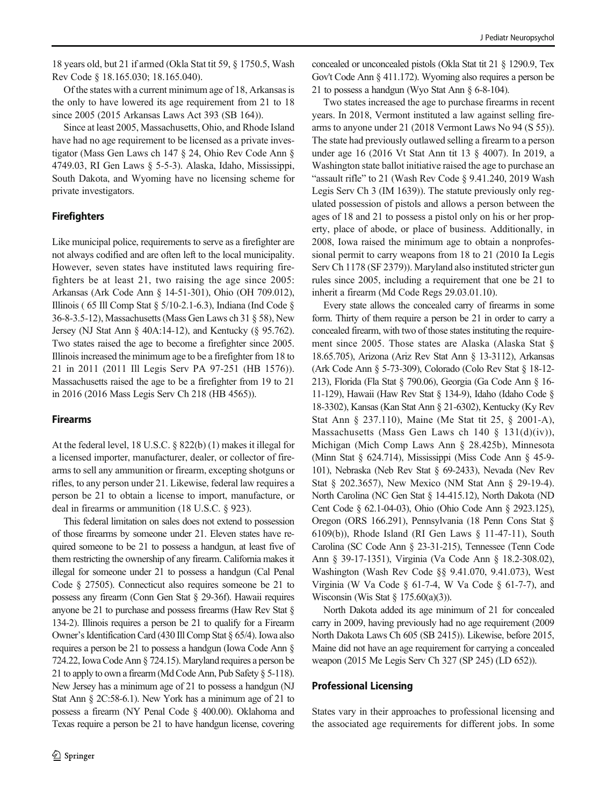18 years old, but 21 if armed (Okla Stat tit 59, § 1750.5, Wash Rev Code § 18.165.030; 18.165.040).

Of the states with a current minimum age of 18, Arkansas is the only to have lowered its age requirement from 21 to 18 since 2005 (2015 Arkansas Laws Act 393 (SB 164)).

Since at least 2005, Massachusetts, Ohio, and Rhode Island have had no age requirement to be licensed as a private investigator (Mass Gen Laws ch 147 § 24, Ohio Rev Code Ann § 4749.03, RI Gen Laws § 5-5-3). Alaska, Idaho, Mississippi, South Dakota, and Wyoming have no licensing scheme for private investigators.

## Firefighters

Like municipal police, requirements to serve as a firefighter are not always codified and are often left to the local municipality. However, seven states have instituted laws requiring firefighters be at least 21, two raising the age since 2005: Arkansas (Ark Code Ann § 14-51-301), Ohio (OH 709.012), Illinois ( 65 Ill Comp Stat § 5/10-2.1-6.3), Indiana (Ind Code § 36-8-3.5-12), Massachusetts (Mass Gen Laws ch 31 § 58), New Jersey (NJ Stat Ann § 40A:14-12), and Kentucky (§ 95.762). Two states raised the age to become a firefighter since 2005. Illinois increased the minimum age to be a firefighter from 18 to 21 in 2011 (2011 Ill Legis Serv PA 97-251 (HB 1576)). Massachusetts raised the age to be a firefighter from 19 to 21 in 2016 (2016 Mass Legis Serv Ch 218 (HB 4565)).

### Firearms

At the federal level, 18 U.S.C. § 822(b) (1) makes it illegal for a licensed importer, manufacturer, dealer, or collector of firearms to sell any ammunition or firearm, excepting shotguns or rifles, to any person under 21. Likewise, federal law requires a person be 21 to obtain a license to import, manufacture, or deal in firearms or ammunition (18 U.S.C. § 923).

This federal limitation on sales does not extend to possession of those firearms by someone under 21. Eleven states have required someone to be 21 to possess a handgun, at least five of them restricting the ownership of any firearm. California makes it illegal for someone under 21 to possess a handgun (Cal Penal Code § 27505). Connecticut also requires someone be 21 to possess any firearm (Conn Gen Stat § 29-36f). Hawaii requires anyone be 21 to purchase and possess firearms (Haw Rev Stat § 134-2). Illinois requires a person be 21 to qualify for a Firearm Owner's Identification Card (430 Ill Comp Stat § 65/4). Iowa also requires a person be 21 to possess a handgun (Iowa Code Ann § 724.22, Iowa Code Ann § 724.15). Maryland requires a person be 21 to apply to own a firearm (Md Code Ann, Pub Safety § 5-118). New Jersey has a minimum age of 21 to possess a handgun (NJ Stat Ann § 2C:58-6.1). New York has a minimum age of 21 to possess a firearm (NY Penal Code § 400.00). Oklahoma and Texas require a person be 21 to have handgun license, covering concealed or unconcealed pistols (Okla Stat tit 21 § 1290.9, Tex Gov't Code Ann § 411.172). Wyoming also requires a person be 21 to possess a handgun (Wyo Stat Ann § 6-8-104).

Two states increased the age to purchase firearms in recent years. In 2018, Vermont instituted a law against selling firearms to anyone under 21 (2018 Vermont Laws No 94 (S 55)). The state had previously outlawed selling a firearm to a person under age 16 (2016 Vt Stat Ann tit 13 § 4007). In 2019, a Washington state ballot initiative raised the age to purchase an "assault rifle" to 21 (Wash Rev Code § 9.41.240, 2019 Wash Legis Serv Ch 3 (IM 1639)). The statute previously only regulated possession of pistols and allows a person between the ages of 18 and 21 to possess a pistol only on his or her property, place of abode, or place of business. Additionally, in 2008, Iowa raised the minimum age to obtain a nonprofessional permit to carry weapons from 18 to 21 (2010 Ia Legis Serv Ch 1178 (SF 2379)). Maryland also instituted stricter gun rules since 2005, including a requirement that one be 21 to inherit a firearm (Md Code Regs 29.03.01.10).

Every state allows the concealed carry of firearms in some form. Thirty of them require a person be 21 in order to carry a concealed firearm, with two of those states instituting the requirement since 2005. Those states are Alaska (Alaska Stat § 18.65.705), Arizona (Ariz Rev Stat Ann § 13-3112), Arkansas (Ark Code Ann § 5-73-309), Colorado (Colo Rev Stat § 18-12- 213), Florida (Fla Stat § 790.06), Georgia (Ga Code Ann § 16- 11-129), Hawaii (Haw Rev Stat § 134-9), Idaho (Idaho Code § 18-3302), Kansas (Kan Stat Ann § 21-6302), Kentucky (Ky Rev Stat Ann § 237.110), Maine (Me Stat tit 25, § 2001-A), Massachusetts (Mass Gen Laws ch 140 § 131(d)(iv)), Michigan (Mich Comp Laws Ann § 28.425b), Minnesota (Minn Stat § 624.714), Mississippi (Miss Code Ann § 45-9- 101), Nebraska (Neb Rev Stat § 69-2433), Nevada (Nev Rev Stat § 202.3657), New Mexico (NM Stat Ann § 29-19-4). North Carolina (NC Gen Stat § 14-415.12), North Dakota (ND Cent Code § 62.1-04-03), Ohio (Ohio Code Ann § 2923.125), Oregon (ORS 166.291), Pennsylvania (18 Penn Cons Stat § 6109(b)), Rhode Island (RI Gen Laws § 11-47-11), South Carolina (SC Code Ann § 23-31-215), Tennessee (Tenn Code Ann § 39-17-1351), Virginia (Va Code Ann § 18.2-308.02), Washington (Wash Rev Code §§ 9.41.070, 9.41.073), West Virginia (W Va Code  $\S$  61-7-4, W Va Code  $\S$  61-7-7), and Wisconsin (Wis Stat  $\S 175.60(a)(3)$ ).

North Dakota added its age minimum of 21 for concealed carry in 2009, having previously had no age requirement (2009 North Dakota Laws Ch 605 (SB 2415)). Likewise, before 2015, Maine did not have an age requirement for carrying a concealed weapon (2015 Me Legis Serv Ch 327 (SP 245) (LD 652)).

### Professional Licensing

States vary in their approaches to professional licensing and the associated age requirements for different jobs. In some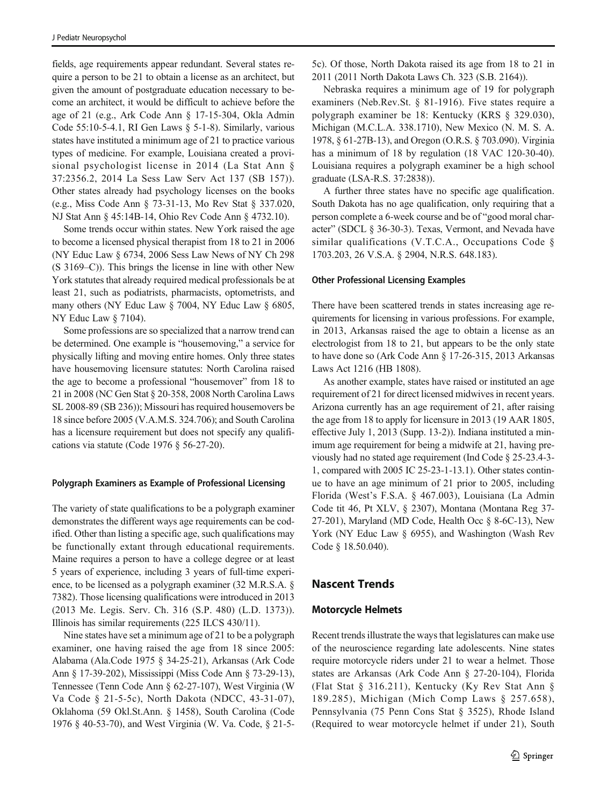fields, age requirements appear redundant. Several states require a person to be 21 to obtain a license as an architect, but given the amount of postgraduate education necessary to become an architect, it would be difficult to achieve before the age of 21 (e.g., Ark Code Ann § 17-15-304, Okla Admin Code 55:10-5-4.1, RI Gen Laws § 5-1-8). Similarly, various states have instituted a minimum age of 21 to practice various types of medicine. For example, Louisiana created a provisional psychologist license in 2014 (La Stat Ann § 37:2356.2, 2014 La Sess Law Serv Act 137 (SB 157)). Other states already had psychology licenses on the books (e.g., Miss Code Ann § 73-31-13, Mo Rev Stat § 337.020, NJ Stat Ann § 45:14B-14, Ohio Rev Code Ann § 4732.10).

Some trends occur within states. New York raised the age to become a licensed physical therapist from 18 to 21 in 2006 (NY Educ Law § 6734, 2006 Sess Law News of NY Ch 298 (S 3169–C)). This brings the license in line with other New York statutes that already required medical professionals be at least 21, such as podiatrists, pharmacists, optometrists, and many others (NY Educ Law § 7004, NY Educ Law § 6805, NY Educ Law § 7104).

Some professions are so specialized that a narrow trend can be determined. One example is "housemoving," a service for physically lifting and moving entire homes. Only three states have housemoving licensure statutes: North Carolina raised the age to become a professional "housemover" from 18 to 21 in 2008 (NC Gen Stat § 20-358, 2008 North Carolina Laws SL 2008-89 (SB 236)); Missouri has required housemovers be 18 since before 2005 (V.A.M.S. 324.706); and South Carolina has a licensure requirement but does not specify any qualifications via statute (Code 1976 § 56-27-20).

#### Polygraph Examiners as Example of Professional Licensing

The variety of state qualifications to be a polygraph examiner demonstrates the different ways age requirements can be codified. Other than listing a specific age, such qualifications may be functionally extant through educational requirements. Maine requires a person to have a college degree or at least 5 years of experience, including 3 years of full-time experience, to be licensed as a polygraph examiner (32 M.R.S.A. § 7382). Those licensing qualifications were introduced in 2013 (2013 Me. Legis. Serv. Ch. 316 (S.P. 480) (L.D. 1373)). Illinois has similar requirements (225 ILCS 430/11).

Nine states have set a minimum age of 21 to be a polygraph examiner, one having raised the age from 18 since 2005: Alabama (Ala.Code 1975 § 34-25-21), Arkansas (Ark Code Ann § 17-39-202), Mississippi (Miss Code Ann § 73-29-13), Tennessee (Tenn Code Ann § 62-27-107), West Virginia (W Va Code § 21-5-5c), North Dakota (NDCC, 43-31-07), Oklahoma (59 Okl.St.Ann. § 1458), South Carolina (Code 1976 § 40-53-70), and West Virginia (W. Va. Code, § 21-55c). Of those, North Dakota raised its age from 18 to 21 in 2011 (2011 North Dakota Laws Ch. 323 (S.B. 2164)).

Nebraska requires a minimum age of 19 for polygraph examiners (Neb.Rev.St. § 81-1916). Five states require a polygraph examiner be 18: Kentucky (KRS § 329.030), Michigan (M.C.L.A. 338.1710), New Mexico (N. M. S. A. 1978, § 61-27B-13), and Oregon (O.R.S. § 703.090). Virginia has a minimum of 18 by regulation (18 VAC 120-30-40). Louisiana requires a polygraph examiner be a high school graduate (LSA-R.S. 37:2838)).

A further three states have no specific age qualification. South Dakota has no age qualification, only requiring that a person complete a 6-week course and be of "good moral character" (SDCL § 36-30-3). Texas, Vermont, and Nevada have similar qualifications (V.T.C.A., Occupations Code § 1703.203, 26 V.S.A. § 2904, N.R.S. 648.183).

#### Other Professional Licensing Examples

There have been scattered trends in states increasing age requirements for licensing in various professions. For example, in 2013, Arkansas raised the age to obtain a license as an electrologist from 18 to 21, but appears to be the only state to have done so (Ark Code Ann § 17-26-315, 2013 Arkansas Laws Act 1216 (HB 1808).

As another example, states have raised or instituted an age requirement of 21 for direct licensed midwives in recent years. Arizona currently has an age requirement of 21, after raising the age from 18 to apply for licensure in 2013 (19 AAR 1805, effective July 1, 2013 (Supp. 13-2)). Indiana instituted a minimum age requirement for being a midwife at 21, having previously had no stated age requirement (Ind Code § 25-23.4-3- 1, compared with 2005 IC 25-23-1-13.1). Other states continue to have an age minimum of 21 prior to 2005, including Florida (West's F.S.A. § 467.003), Louisiana (La Admin Code tit 46, Pt XLV, § 2307), Montana (Montana Reg 37- 27-201), Maryland (MD Code, Health Occ § 8-6C-13), New York (NY Educ Law § 6955), and Washington (Wash Rev Code § 18.50.040).

## Nascent Trends

### Motorcycle Helmets

Recent trends illustrate the ways that legislatures can make use of the neuroscience regarding late adolescents. Nine states require motorcycle riders under 21 to wear a helmet. Those states are Arkansas (Ark Code Ann § 27-20-104), Florida (Flat Stat § 316.211), Kentucky (Ky Rev Stat Ann § 189.285), Michigan (Mich Comp Laws § 257.658), Pennsylvania (75 Penn Cons Stat § 3525), Rhode Island (Required to wear motorcycle helmet if under 21), South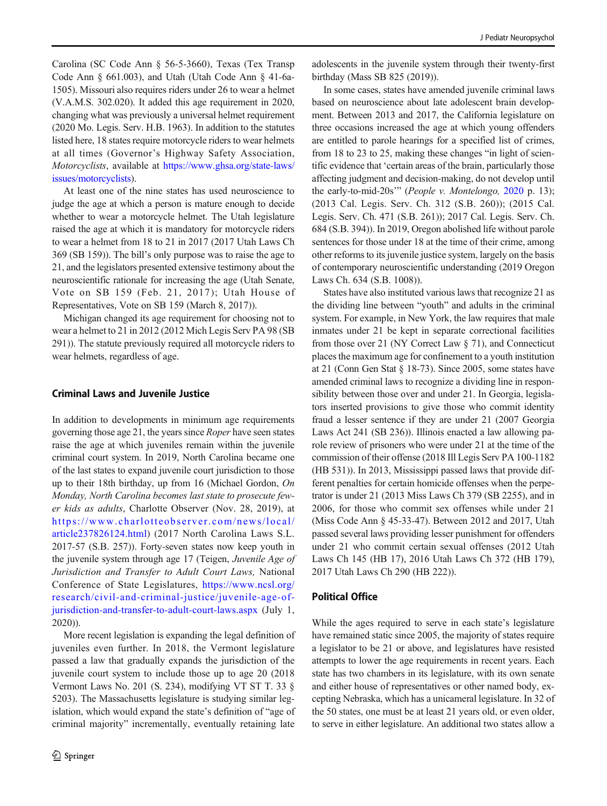Carolina (SC Code Ann § 56-5-3660), Texas (Tex Transp Code Ann § 661.003), and Utah (Utah Code Ann § 41-6a-1505). Missouri also requires riders under 26 to wear a helmet (V.A.M.S. 302.020). It added this age requirement in 2020, changing what was previously a universal helmet requirement (2020 Mo. Legis. Serv. H.B. 1963). In addition to the statutes listed here, 18 states require motorcycle riders to wear helmets at all times (Governor's Highway Safety Association, Motorcyclists, available at [https://www.ghsa.org/state-laws/](https://www.ghsa.org/state-laws/issues/motorcyclists) [issues/motorcyclists](https://www.ghsa.org/state-laws/issues/motorcyclists)).

At least one of the nine states has used neuroscience to judge the age at which a person is mature enough to decide whether to wear a motorcycle helmet. The Utah legislature raised the age at which it is mandatory for motorcycle riders to wear a helmet from 18 to 21 in 2017 (2017 Utah Laws Ch 369 (SB 159)). The bill's only purpose was to raise the age to 21, and the legislators presented extensive testimony about the neuroscientific rationale for increasing the age (Utah Senate, Vote on SB 159 (Feb. 21, 2017); Utah House of Representatives, Vote on SB 159 (March 8, 2017)).

Michigan changed its age requirement for choosing not to wear a helmet to 21 in 2012 (2012 Mich Legis Serv PA 98 (SB 291)). The statute previously required all motorcycle riders to wear helmets, regardless of age.

### Criminal Laws and Juvenile Justice

In addition to developments in minimum age requirements governing those age 21, the years since Roper have seen states raise the age at which juveniles remain within the juvenile criminal court system. In 2019, North Carolina became one of the last states to expand juvenile court jurisdiction to those up to their 18th birthday, up from 16 (Michael Gordon, On Monday, North Carolina becomes last state to prosecute fewer kids as adults, Charlotte Observer (Nov. 28, 2019), at [https://www.charlotteobserver.com/news/local/](https://www.charlotteobserver.com/news/local/article237826124.html) [article237826124.html](https://www.charlotteobserver.com/news/local/article237826124.html)) (2017 North Carolina Laws S.L. 2017-57 (S.B. 257)). Forty-seven states now keep youth in the juvenile system through age 17 (Teigen, Juvenile Age of Jurisdiction and Transfer to Adult Court Laws, National Conference of State Legislatures, [https://www.ncsl.org/](https://www.ncsl.org/research/civil-and-criminal-justice/juvenile-age-of-jurisdiction-and-transfer-to-adult-court-laws.aspx) [research/civil-and-criminal-justice/juvenile-age-of](https://www.ncsl.org/research/civil-and-criminal-justice/juvenile-age-of-jurisdiction-and-transfer-to-adult-court-laws.aspx)[jurisdiction-and-transfer-to-adult-court-laws.aspx](https://www.ncsl.org/research/civil-and-criminal-justice/juvenile-age-of-jurisdiction-and-transfer-to-adult-court-laws.aspx) (July 1, 2020)).

More recent legislation is expanding the legal definition of juveniles even further. In 2018, the Vermont legislature passed a law that gradually expands the jurisdiction of the juvenile court system to include those up to age 20 (2018 Vermont Laws No. 201 (S. 234), modifying VT ST T. 33 § 5203). The Massachusetts legislature is studying similar legislation, which would expand the state's definition of "age of criminal majority" incrementally, eventually retaining late

adolescents in the juvenile system through their twenty-first birthday (Mass SB 825 (2019)).

In some cases, states have amended juvenile criminal laws based on neuroscience about late adolescent brain development. Between 2013 and 2017, the California legislature on three occasions increased the age at which young offenders are entitled to parole hearings for a specified list of crimes, from 18 to 23 to 25, making these changes "in light of scientific evidence that 'certain areas of the brain, particularly those affecting judgment and decision-making, do not develop until the early-to-mid-20s'" (People v. Montelongo, [2020](#page-13-0) p. 13); (2013 Cal. Legis. Serv. Ch. 312 (S.B. 260)); (2015 Cal. Legis. Serv. Ch. 471 (S.B. 261)); 2017 Cal. Legis. Serv. Ch. 684 (S.B. 394)). In 2019, Oregon abolished life without parole sentences for those under 18 at the time of their crime, among other reforms to its juvenile justice system, largely on the basis of contemporary neuroscientific understanding (2019 Oregon Laws Ch. 634 (S.B. 1008)).

States have also instituted various laws that recognize 21 as the dividing line between "youth" and adults in the criminal system. For example, in New York, the law requires that male inmates under 21 be kept in separate correctional facilities from those over 21 (NY Correct Law § 71), and Connecticut places the maximum age for confinement to a youth institution at 21 (Conn Gen Stat § 18-73). Since 2005, some states have amended criminal laws to recognize a dividing line in responsibility between those over and under 21. In Georgia, legislators inserted provisions to give those who commit identity fraud a lesser sentence if they are under 21 (2007 Georgia Laws Act 241 (SB 236)). Illinois enacted a law allowing parole review of prisoners who were under 21 at the time of the commission of their offense (2018 Ill Legis Serv PA 100-1182 (HB 531)). In 2013, Mississippi passed laws that provide different penalties for certain homicide offenses when the perpetrator is under 21 (2013 Miss Laws Ch 379 (SB 2255), and in 2006, for those who commit sex offenses while under 21 (Miss Code Ann § 45-33-47). Between 2012 and 2017, Utah passed several laws providing lesser punishment for offenders under 21 who commit certain sexual offenses (2012 Utah Laws Ch 145 (HB 17), 2016 Utah Laws Ch 372 (HB 179), 2017 Utah Laws Ch 290 (HB 222)).

#### Political Office

While the ages required to serve in each state's legislature have remained static since 2005, the majority of states require a legislator to be 21 or above, and legislatures have resisted attempts to lower the age requirements in recent years. Each state has two chambers in its legislature, with its own senate and either house of representatives or other named body, excepting Nebraska, which has a unicameral legislature. In 32 of the 50 states, one must be at least 21 years old, or even older, to serve in either legislature. An additional two states allow a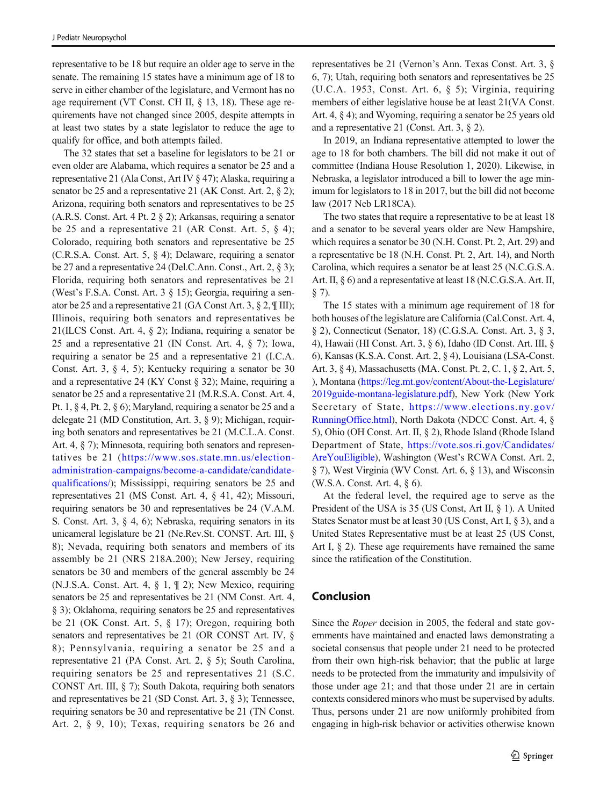representative to be 18 but require an older age to serve in the senate. The remaining 15 states have a minimum age of 18 to serve in either chamber of the legislature, and Vermont has no age requirement (VT Const. CH II, § 13, 18). These age requirements have not changed since 2005, despite attempts in at least two states by a state legislator to reduce the age to qualify for office, and both attempts failed.

The 32 states that set a baseline for legislators to be 21 or even older are Alabama, which requires a senator be 25 and a representative 21 (Ala Const, Art IV § 47); Alaska, requiring a senator be 25 and a representative 21 (AK Const. Art. 2, § 2); Arizona, requiring both senators and representatives to be 25 (A.R.S. Const. Art. 4 Pt. 2 § 2); Arkansas, requiring a senator be 25 and a representative 21 (AR Const. Art. 5,  $\S$  4); Colorado, requiring both senators and representative be 25 (C.R.S.A. Const. Art. 5, § 4); Delaware, requiring a senator be 27 and a representative 24 (Del.C.Ann. Const., Art. 2, § 3); Florida, requiring both senators and representatives be 21 (West's F.S.A. Const. Art. 3 § 15); Georgia, requiring a senator be 25 and a representative 21 (GA Const Art. 3, § 2, ¶ III); Illinois, requiring both senators and representatives be 21(ILCS Const. Art. 4, § 2); Indiana, requiring a senator be 25 and a representative 21 (IN Const. Art. 4, § 7); Iowa, requiring a senator be 25 and a representative 21 (I.C.A. Const. Art. 3, § 4, 5); Kentucky requiring a senator be 30 and a representative 24 (KY Const § 32); Maine, requiring a senator be 25 and a representative 21 (M.R.S.A. Const. Art. 4, Pt. 1, § 4, Pt. 2, § 6); Maryland, requiring a senator be 25 and a delegate 21 (MD Constitution, Art. 3, § 9); Michigan, requiring both senators and representatives be 21 (M.C.L.A. Const. Art. 4, § 7); Minnesota, requiring both senators and representatives be 21 ([https://www.sos.state.mn.us/election](https://www.sos.state.mn.us/election-administration-campaigns/become-a-candidate/candidate-qualifications/)[administration-campaigns/become-a-candidate/candidate](https://www.sos.state.mn.us/election-administration-campaigns/become-a-candidate/candidate-qualifications/)[qualifications/](https://www.sos.state.mn.us/election-administration-campaigns/become-a-candidate/candidate-qualifications/)); Mississippi, requiring senators be 25 and representatives 21 (MS Const. Art. 4, § 41, 42); Missouri, requiring senators be 30 and representatives be 24 (V.A.M. S. Const. Art. 3, § 4, 6); Nebraska, requiring senators in its unicameral legislature be 21 (Ne.Rev.St. CONST. Art. III, § 8); Nevada, requiring both senators and members of its assembly be 21 (NRS 218A.200); New Jersey, requiring senators be 30 and members of the general assembly be 24 (N.J.S.A. Const. Art. 4, § 1, ¶ 2); New Mexico, requiring senators be 25 and representatives be 21 (NM Const. Art. 4, § 3); Oklahoma, requiring senators be 25 and representatives be 21 (OK Const. Art. 5, § 17); Oregon, requiring both senators and representatives be 21 (OR CONST Art. IV, § 8); Pennsylvania, requiring a senator be 25 and a representative 21 (PA Const. Art. 2, § 5); South Carolina, requiring senators be 25 and representatives 21 (S.C. CONST Art. III, § 7); South Dakota, requiring both senators and representatives be 21 (SD Const. Art. 3, § 3); Tennessee, requiring senators be 30 and representative be 21 (TN Const. Art. 2, § 9, 10); Texas, requiring senators be 26 and representatives be 21 (Vernon's Ann. Texas Const. Art. 3, § 6, 7); Utah, requiring both senators and representatives be 25 (U.C.A. 1953, Const. Art. 6, § 5); Virginia, requiring members of either legislative house be at least 21(VA Const. Art. 4, § 4); and Wyoming, requiring a senator be 25 years old and a representative 21 (Const. Art. 3, § 2).

In 2019, an Indiana representative attempted to lower the age to 18 for both chambers. The bill did not make it out of committee (Indiana House Resolution 1, 2020). Likewise, in Nebraska, a legislator introduced a bill to lower the age minimum for legislators to 18 in 2017, but the bill did not become law (2017 Neb LR18CA).

The two states that require a representative to be at least 18 and a senator to be several years older are New Hampshire, which requires a senator be 30 (N.H. Const. Pt. 2, Art. 29) and a representative be 18 (N.H. Const. Pt. 2, Art. 14), and North Carolina, which requires a senator be at least 25 (N.C.G.S.A. Art. II, § 6) and a representative at least 18 (N.C.G.S.A. Art. II, § 7).

The 15 states with a minimum age requirement of 18 for both houses of the legislature are California (Cal.Const. Art. 4, § 2), Connecticut (Senator, 18) (C.G.S.A. Const. Art. 3, § 3, 4), Hawaii (HI Const. Art. 3, § 6), Idaho (ID Const. Art. III, § 6), Kansas (K.S.A. Const. Art. 2, § 4), Louisiana (LSA-Const. Art. 3, § 4), Massachusetts (MA. Const. Pt. 2, C. 1, § 2, Art. 5, ), Montana [\(https://leg.mt.gov/content/About-the-Legislature/](https://leg.mt.gov/content/About-the-Legislature/2019guide-montana-legislature.pdf) [2019guide-montana-legislature.pdf](https://leg.mt.gov/content/About-the-Legislature/2019guide-montana-legislature.pdf)), New York (New York Secretary of State, [https://www.elections.ny.gov/](https://www.elections.ny.gov/RunningOffice.html) [RunningOffice.html](https://www.elections.ny.gov/RunningOffice.html)), North Dakota (NDCC Const. Art. 4, § 5), Ohio (OH Const. Art. II, § 2), Rhode Island (Rhode Island Department of State, [https://vote.sos.ri.gov/Candidates/](https://vote.sos.ri.gov/Candidates/AreYouEligible) [AreYouEligible\)](https://vote.sos.ri.gov/Candidates/AreYouEligible), Washington (West's RCWA Const. Art. 2, § 7), West Virginia (WV Const. Art. 6, § 13), and Wisconsin (W.S.A. Const. Art. 4, § 6).

At the federal level, the required age to serve as the President of the USA is 35 (US Const, Art II, § 1). A United States Senator must be at least 30 (US Const, Art I, § 3), and a United States Representative must be at least 25 (US Const, Art I, § 2). These age requirements have remained the same since the ratification of the Constitution.

# Conclusion

Since the Roper decision in 2005, the federal and state governments have maintained and enacted laws demonstrating a societal consensus that people under 21 need to be protected from their own high-risk behavior; that the public at large needs to be protected from the immaturity and impulsivity of those under age 21; and that those under 21 are in certain contexts considered minors who must be supervised by adults. Thus, persons under 21 are now uniformly prohibited from engaging in high-risk behavior or activities otherwise known